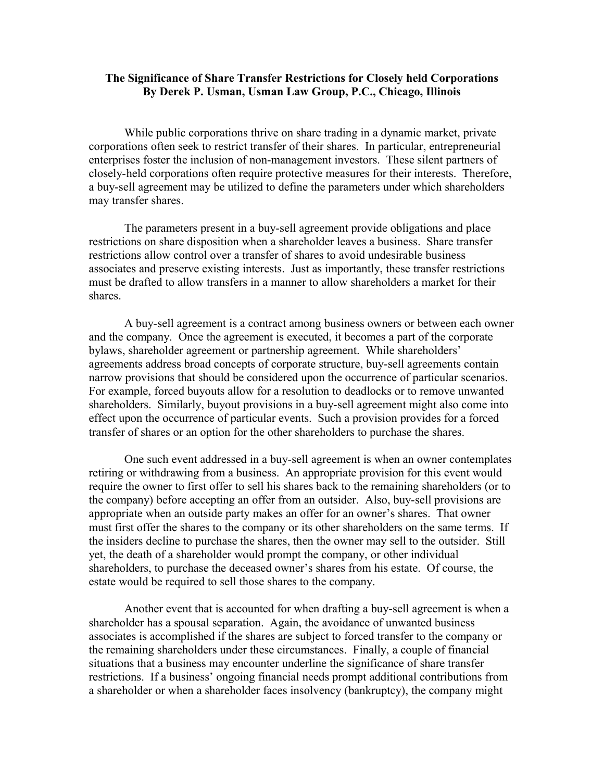## **The Significance of Share Transfer Restrictions for Closely held Corporations By Derek P. Usman, Usman Law Group, P.C., Chicago, Illinois**

While public corporations thrive on share trading in a dynamic market, private corporations often seek to restrict transfer of their shares. In particular, entrepreneurial enterprises foster the inclusion of non-management investors. These silent partners of closely-held corporations often require protective measures for their interests. Therefore, a buy-sell agreement may be utilized to define the parameters under which shareholders may transfer shares.

The parameters present in a buy-sell agreement provide obligations and place restrictions on share disposition when a shareholder leaves a business. Share transfer restrictions allow control over a transfer of shares to avoid undesirable business associates and preserve existing interests. Just as importantly, these transfer restrictions must be drafted to allow transfers in a manner to allow shareholders a market for their shares.

A buy-sell agreement is a contract among business owners or between each owner and the company. Once the agreement is executed, it becomes a part of the corporate bylaws, shareholder agreement or partnership agreement. While shareholders' agreements address broad concepts of corporate structure, buy-sell agreements contain narrow provisions that should be considered upon the occurrence of particular scenarios. For example, forced buyouts allow for a resolution to deadlocks or to remove unwanted shareholders. Similarly, buyout provisions in a buy-sell agreement might also come into effect upon the occurrence of particular events. Such a provision provides for a forced transfer of shares or an option for the other shareholders to purchase the shares.

One such event addressed in a buy-sell agreement is when an owner contemplates retiring or withdrawing from a business. An appropriate provision for this event would require the owner to first offer to sell his shares back to the remaining shareholders (or to the company) before accepting an offer from an outsider. Also, buy-sell provisions are appropriate when an outside party makes an offer for an owner's shares. That owner must first offer the shares to the company or its other shareholders on the same terms. If the insiders decline to purchase the shares, then the owner may sell to the outsider. Still yet, the death of a shareholder would prompt the company, or other individual shareholders, to purchase the deceased owner's shares from his estate. Of course, the estate would be required to sell those shares to the company.

Another event that is accounted for when drafting a buy-sell agreement is when a shareholder has a spousal separation. Again, the avoidance of unwanted business associates is accomplished if the shares are subject to forced transfer to the company or the remaining shareholders under these circumstances. Finally, a couple of financial situations that a business may encounter underline the significance of share transfer restrictions. If a business' ongoing financial needs prompt additional contributions from a shareholder or when a shareholder faces insolvency (bankruptcy), the company might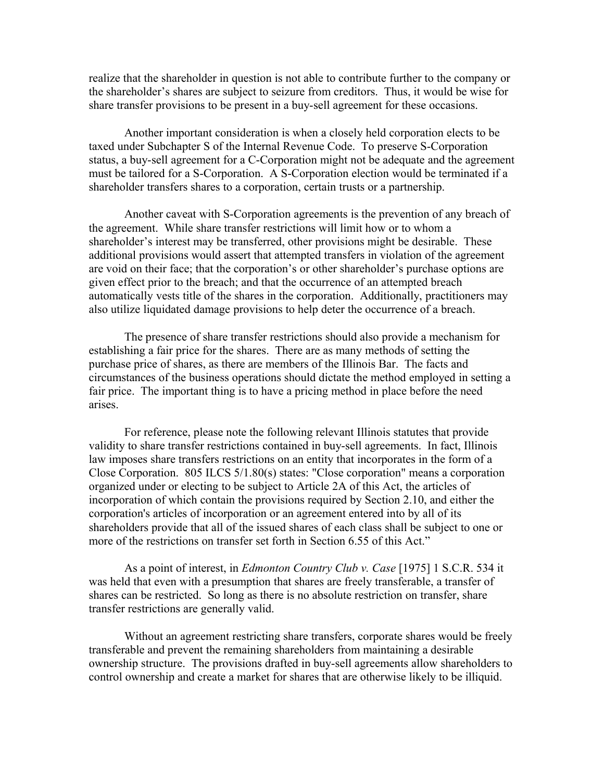realize that the shareholder in question is not able to contribute further to the company or the shareholder's shares are subject to seizure from creditors. Thus, it would be wise for share transfer provisions to be present in a buy-sell agreement for these occasions.

Another important consideration is when a closely held corporation elects to be taxed under Subchapter S of the Internal Revenue Code. To preserve S-Corporation status, a buy-sell agreement for a C-Corporation might not be adequate and the agreement must be tailored for a S-Corporation. A S-Corporation election would be terminated if a shareholder transfers shares to a corporation, certain trusts or a partnership.

Another caveat with S-Corporation agreements is the prevention of any breach of the agreement. While share transfer restrictions will limit how or to whom a shareholder's interest may be transferred, other provisions might be desirable. These additional provisions would assert that attempted transfers in violation of the agreement are void on their face; that the corporation's or other shareholder's purchase options are given effect prior to the breach; and that the occurrence of an attempted breach automatically vests title of the shares in the corporation. Additionally, practitioners may also utilize liquidated damage provisions to help deter the occurrence of a breach.

The presence of share transfer restrictions should also provide a mechanism for establishing a fair price for the shares. There are as many methods of setting the purchase price of shares, as there are members of the Illinois Bar. The facts and circumstances of the business operations should dictate the method employed in setting a fair price. The important thing is to have a pricing method in place before the need arises.

For reference, please note the following relevant Illinois statutes that provide validity to share transfer restrictions contained in buy-sell agreements. In fact, Illinois law imposes share transfers restrictions on an entity that incorporates in the form of a Close Corporation. 805 ILCS 5/1.80(s) states: "Close corporation" means a corporation organized under or electing to be subject to Article 2A of this Act, the articles of incorporation of which contain the provisions required by Section 2.10, and either the corporation's articles of incorporation or an agreement entered into by all of its shareholders provide that all of the issued shares of each class shall be subject to one or more of the restrictions on transfer set forth in Section 6.55 of this Act."

As a point of interest, in *Edmonton Country Club v. Case* [1975] 1 S.C.R. 534 it was held that even with a presumption that shares are freely transferable, a transfer of shares can be restricted. So long as there is no absolute restriction on transfer, share transfer restrictions are generally valid.

Without an agreement restricting share transfers, corporate shares would be freely transferable and prevent the remaining shareholders from maintaining a desirable ownership structure. The provisions drafted in buy-sell agreements allow shareholders to control ownership and create a market for shares that are otherwise likely to be illiquid.